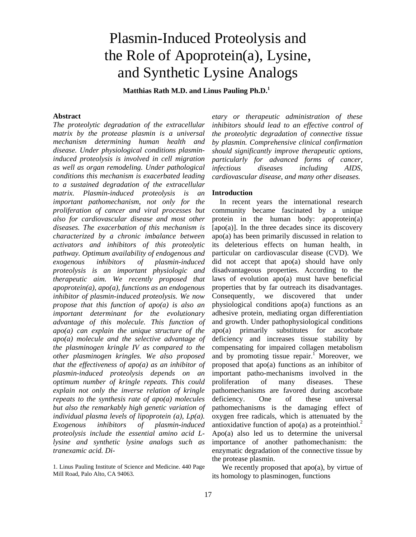# Plasmin-Induced Proteolysis and the Role of Apoprotein(a), Lysine, and Synthetic Lysine Analogs

**Matthias Rath M.D. and Linus Pauling Ph.D.1**

#### **Abstract**

*The proteolytic degradation of the extracellular matrix by the protease plasmin is a universal mechanism determining human health and disease. Under physiological conditions plasmininduced proteolysis is involved in cell migration as well as organ remodeling. Under pathological conditions this mechanism is exacerbated leading to a sustained degradation of the extracellular matrix. Plasmin-induced proteolysis is an important pathomechanism, not only for the proliferation of cancer and viral processes but also for cardiovascular disease and most other diseases. The exacerbation of this mechanism is characterized by a chronic imbalance between activators and inhibitors of this proteolytic pathway. Optimum availability of endogenous and exogenous inhibitors of plasmin-induced proteolysis is an important physiologic and therapeutic aim. We recently proposed that apoprotein(a), apo(a), functions as an endogenous inhibitor of plasmin-induced proteolysis. We now propose that this function of apo(a) is also an important determinant for the evolutionary advantage of this molecule. This function of apo(a) can explain the unique structure of the apo(a) molecule and the selective advantage of the plasminogen kringle IV as compared to the other plasminogen kringles. We also proposed that the effectiveness of apo(a) as an inhibitor of plasmin-induced proteolysis depends on an optimum number of kringle repeats. This could explain not only the inverse relation of kringle repeats to the synthesis rate of apo(a) molecules but also the remarkably high genetic variation of individual plasma levels of lipoprotein (a), Lp(a). Exogenous inhibitors of plasmin-induced proteolysis include the essential amino acid Llysine and synthetic lysine analogs such as tranexamic acid. Di-* *etary or therapeutic administration of these inhibitors should lead to an effective control of the proteolytic degradation of connective tissue by plasmin. Comprehensive clinical confirmation should significantly improve therapeutic options, particularly for advanced forms of cancer, infectious diseases including AIDS, cardiovascular disease, and many other diseases.*

#### **Introduction**

In recent years the international research community became fascinated by a unique protein in the human body: apoprotein(a)  $[apo(a)]$ . In the three decades since its discovery apo(a) has been primarily discussed in relation to its deleterious effects on human health, in particular on cardiovascular disease (CVD). We did not accept that apo(a) should have only disadvantageous properties. According to the laws of evolution apo(a) must have beneficial properties that by far outreach its disadvantages. Consequently, we discovered that under physiological conditions apo(a) functions as an adhesive protein, mediating organ differentiation and growth. Under pathophysiological conditions apo(a) primarily substitutes for ascorbate deficiency and increases tissue stability by compensating for impaired collagen metabolism and by promoting tissue repair.<sup>1</sup> Moreover, we proposed that apo(a) functions as an inhibitor of important patho-mechanisms involved in the proliferation of many diseases. These pathomechanisms are favored during ascorbate deficiency. One of these universal pathomechanisms is the damaging effect of oxygen free radicals, which is attenuated by the antioxidative function of apo(a) as a proteinthiol.<sup>2</sup> Apo(a) also led us to determine the universal importance of another pathomechanism: the enzymatic degradation of the connective tissue by the protease plasmin.

We recently proposed that  $apo(a)$ , by virtue of its homology to plasminogen, functions

<sup>1.</sup> Linus Pauling Institute of Science and Medicine. 440 Page Mill Road, Palo Alto, CA 94063.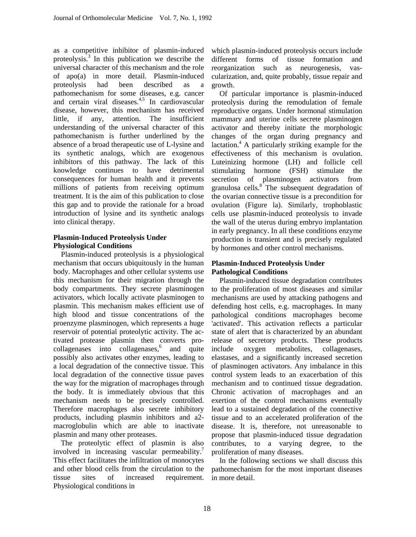as a competitive inhibitor of plasmin-induced proteolysis.<sup>3</sup> In this publication we describe the universal character of this mechanism and the role of apo(a) in more detail. Plasmin-induced proteolysis had been described as a pathomechanism for some diseases, e.g. cancer and certain viral diseases. $4.5$  In cardiovascular disease, however, this mechanism has received little, if any, attention. The insufficient understanding of the universal character of this pathomechanism is further underlined by the absence of a broad therapeutic use of L-lysine and its synthetic analogs, which are exogenous inhibitors of this pathway. The lack of this knowledge continues to have detrimental consequences for human health and it prevents millions of patients from receiving optimum treatment. It is the aim of this publication to close this gap and to provide the rationale for a broad introduction of lysine and its synthetic analogs into clinical therapy.

# **Plasmin-Induced Proteolysis Under Physiological Conditions**

Plasmin-induced proteolysis is a physiological mechanism that occurs ubiquitously in the human body. Macrophages and other cellular systems use this mechanism for their migration through the body compartments. They secrete plasminogen activators, which locally activate plasminogen to plasmin. This mechanism makes efficient use of high blood and tissue concentrations of the proenzyme plasminogen, which represents a huge reservoir of potential proteolytic activity. The activated protease plasmin then converts procollagenases into collagenases,<sup>6</sup> and quite possibly also activates other enzymes, leading to a local degradation of the connective tissue. This local degradation of the connective tissue paves the way for the migration of macrophages through the body. It is immediately obvious that this mechanism needs to be precisely controlled. Therefore macrophages also secrete inhibitory products, including plasmin inhibitors and a2 macroglobulin which are able to inactivate plasmin and many other proteases.

The proteolytic effect of plasmin is also involved in increasing vascular permeability.<sup>7</sup> This effect facilitates the infiltration of monocytes and other blood cells from the circulation to the tissue sites of increased requirement. Physiological conditions in

which plasmin-induced proteolysis occurs include different forms of tissue formation and reorganization such as neurogenesis, vascularization, and, quite probably, tissue repair and growth.

Of particular importance is plasmin-induced proteolysis during the remodulation of female reproductive organs. Under hormonal stimulation mammary and uterine cells secrete plasminogen activator and thereby initiate the morphologic changes of the organ during pregnancy and lactation.<sup>4</sup> A particularly striking example for the effectiveness of this mechanism is ovulation. Luteinizing hormone (LH) and follicle cell stimulating hormone (FSH) stimulate the secretion of plasminogen activators from granulosa cells.<sup>8</sup> The subsequent degradation of the ovarian connective tissue is a precondition for ovulation (Figure la). Similarly, trophoblastic cells use plasmin-induced proteolysis to invade the wall of the uterus during embryo implantation in early pregnancy. In all these conditions enzyme production is transient and is precisely regulated by hormones and other control mechanisms.

# **Plasmin-Induced Proteolysis Under Pathological Conditions**

Plasmin-induced tissue degradation contributes to the proliferation of most diseases and similar mechanisms are used by attacking pathogens and defending host cells, e.g. macrophages. In many pathological conditions macrophages become 'activated'. This activation reflects a particular state of alert that is characterized by an abundant release of secretory products. These products include oxygen metabolites, collagenases, elastases, and a significantly increased secretion of plasminogen activators. Any imbalance in this control system leads to an exacerbation of this mechanism and to continued tissue degradation. Chronic activation of macrophages and an exertion of the control mechanisms eventually lead to a sustained degradation of the connective tissue and to an accelerated proliferation of the disease. It is, therefore, not unreasonable to propose that plasmin-induced tissue degradation contributes, to a varying degree, to the proliferation of many diseases.

In the following sections we shall discuss this pathomechanism for the most important diseases in more detail.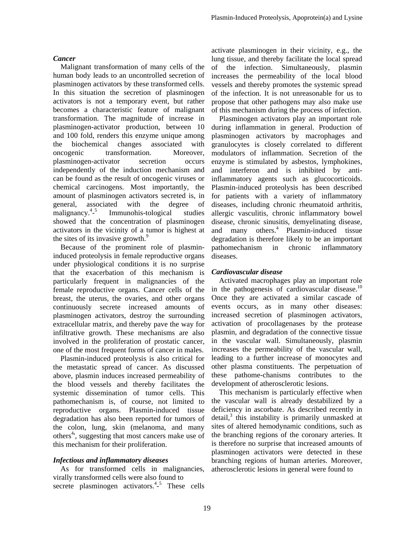## *Cancer*

Malignant transformation of many cells of the human body leads to an uncontrolled secretion of plasminogen activators by these transformed cells. In this situation the secretion of plasminogen activators is not a temporary event, but rather becomes a characteristic feature of malignant transformation. The magnitude of increase in plasminogen-activator production, between 10 and 100 fold, renders this enzyme unique among the biochemical changes associated with oncogenic transformation. Moreover, plasminogen-activator secretion occurs independently of the induction mechanism and can be found as the result of oncogenic viruses or chemical carcinogens. Most importantly, the amount of plasminogen activators secreted is, in general, associated with the degree of malignancy.<sup>4</sup>-<sup>5</sup> Immunohis-tological studies showed that the concentration of plasminogen activators in the vicinity of a tumor is highest at the sites of its invasive growth.<sup>9</sup>

Because of the prominent role of plasmininduced proteolysis in female reproductive organs under physiological conditions it is no surprise that the exacerbation of this mechanism is particularly frequent in malignancies of the female reproductive organs. Cancer cells of the breast, the uterus, the ovaries, and other organs continuously secrete increased amounts of plasminogen activators, destroy the surrounding extracellular matrix, and thereby pave the way for infiltrative growth. These mechanisms are also involved in the proliferation of prostatic cancer, one of the most frequent forms of cancer in males.

Plasmin-induced proteolysis is also critical for the metastatic spread of cancer. As discussed above, plasmin induces increased permeability of the blood vessels and thereby facilitates the systemic dissemination of tumor cells. This pathomechanism is, of course, not limited to reproductive organs. Plasmin-induced tissue degradation has also been reported for tumors of the colon, lung, skin (melanoma, and many others<sup>4</sup>', suggesting that most cancers make use of this mechanism for their proliferation.

## *Infectious and inflammatory diseases*

As for transformed cells in malignancies, virally transformed cells were also found to secrete plasminogen activators. $4.5$  These cells

activate plasminogen in their vicinity, e.g., the lung tissue, and thereby facilitate the local spread of the infection. Simultaneously, plasmin increases the permeability of the local blood vessels and thereby promotes the systemic spread of the infection. It is not unreasonable for us to propose that other pathogens may also make use of this mechanism during the process of infection.

Plasminogen activators play an important role during inflammation in general. Production of plasminogen activators by macrophages and granulocytes is closely correlated to different modulators of inflammation. Secretion of the enzyme is stimulated by asbestos, lymphokines, and interferon and is inhibited by antiinflammatory agents such as glucocorticoids. Plasmin-induced proteolysis has been described for patients with a variety of inflammatory diseases, including chronic rheumatoid arthritis, allergic vasculitis, chronic inflammatory bowel disease, chronic sinusitis, demyelinating disease, and many others.<sup>4</sup> Plasmin-induced tissue degradation is therefore likely to be an important pathomechanism in chronic inflammatory diseases.

## *Cardiovascular disease*

Activated macrophages play an important role in the pathogenesis of cardiovascular disease. $^{10}$ Once they are activated a similar cascade of events occurs, as in many other diseases: increased secretion of plasminogen activators, activation of procollagenases by the protease plasmin, and degradation of the connective tissue in the vascular wall. Simultaneously, plasmin increases the permeability of the vascular wall, leading to a further increase of monocytes and other plasma constituents. The perpetuation of these pathome-chanisms contributes to the development of atherosclerotic lesions.

This mechanism is particularly effective when the vascular wall is already destabilized by a deficiency in ascorbate. As described recently in detail, $3$  this instability is primarily unmasked at sites of altered hemodynamic conditions, such as the branching regions of the coronary arteries. It is therefore no surprise that increased amounts of plasminogen activators were detected in these branching regions of human arteries. Moreover, atherosclerotic lesions in general were found to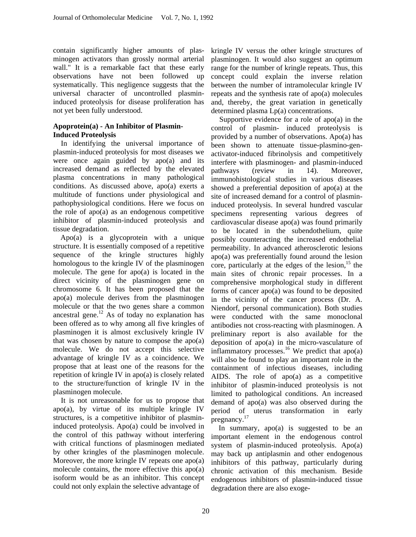contain significantly higher amounts of plasminogen activators than grossly normal arterial wall." It is a remarkable fact that these early observations have not been followed up systematically. This negligence suggests that the universal character of uncontrolled plasmininduced proteolysis for disease proliferation has not yet been fully understood.

## **Apoprotein(a) - An Inhibitor of Plasmin-Induced Proteolysis**

In identifying the universal importance of plasmin-induced proteolysis for most diseases we were once again guided by  $apo(a)$  and its increased demand as reflected by the elevated plasma concentrations in many pathological conditions. As discussed above, apo(a) exerts a multitude of functions under physiological and pathophysiological conditions. Here we focus on the role of apo(a) as an endogenous competitive inhibitor of plasmin-induced proteolysis and tissue degradation.

Apo(a) is a glycoprotein with a unique structure. It is essentially composed of a repetitive sequence of the kringle structures highly homologous to the kringle IV of the plasminogen molecule. The gene for apo(a) is located in the direct vicinity of the plasminogen gene on chromosome 6. It has been proposed that the apo(a) molecule derives from the plasminogen molecule or that the two genes share a common ancestral gene. $^{12}$  As of today no explanation has been offered as to why among all five kringles of plasminogen it is almost exclusively kringle IV that was chosen by nature to compose the  $apo(a)$ molecule. We do not accept this selective advantage of kringle IV as a coincidence. We propose that at least one of the reasons for the repetition of kringle IV in apo(a) is closely related to the structure/function of kringle IV in the plasminogen molecule.

It is not unreasonable for us to propose that apo(a), by virtue of its multiple kringle IV structures, is a competitive inhibitor of plasmininduced proteolysis. Apo(a) could be involved in the control of this pathway without interfering with critical functions of plasminogen mediated by other kringles of the plasminogen molecule. Moreover, the more kringle IV repeats one apo(a) molecule contains, the more effective this apo(a) isoform would be as an inhibitor. This concept could not only explain the selective advantage of

kringle IV versus the other kringle structures of plasminogen. It would also suggest an optimum range for the number of kringle repeats. Thus, this concept could explain the inverse relation between the number of intramolecular kringle IV repeats and the synthesis rate of apo(a) molecules and, thereby, the great variation in genetically determined plasma Lp(a) concentrations.

Supportive evidence for a role of apo $(a)$  in the control of plasmin- induced proteolysis is provided by a number of observations. Apo(a) has been shown to attenuate tissue-plasmino-genactivator-induced fibrinolysis and competitively interfere with plasminogen- and plasmin-induced pathways (review in 14). Moreover, immunohistological studies in various diseases showed a preferential deposition of apo(a) at the site of increased demand for a control of plasmininduced proteolysis. In several hundred vascular specimens representing various degrees of cardiovascular disease apo(a) was found primarily to be located in the subendothelium, quite possibly counteracting the increased endothelial permeability. In advanced atherosclerotic lesions apo(a) was preferentially found around the lesion core, particularly at the edges of the lesion, $15$  the main sites of chronic repair processes. In a comprehensive morphological study in different forms of cancer apo(a) was found to be deposited in the vicinity of the cancer process (Dr. A. Niendorf, personal communication). Both studies were conducted with the same monoclonal antibodies not cross-reacting with plasminogen. A preliminary report is also available for the deposition of apo(a) in the micro-vasculature of inflammatory processes.<sup>16</sup> We predict that  $apo(a)$ will also be found to play an important role in the containment of infectious diseases, including AIDS. The role of apo(a) as a competitive inhibitor of plasmin-induced proteolysis is not limited to pathological conditions. An increased demand of apo(a) was also observed during the period of uterus transformation in early pregnancy.<sup>17</sup>

In summary, apo(a) is suggested to be an important element in the endogenous control system of plasmin-induced proteolysis. Apo(a) may back up antiplasmin and other endogenous inhibitors of this pathway, particularly during chronic activation of this mechanism. Beside endogenous inhibitors of plasmin-induced tissue degradation there are also exoge-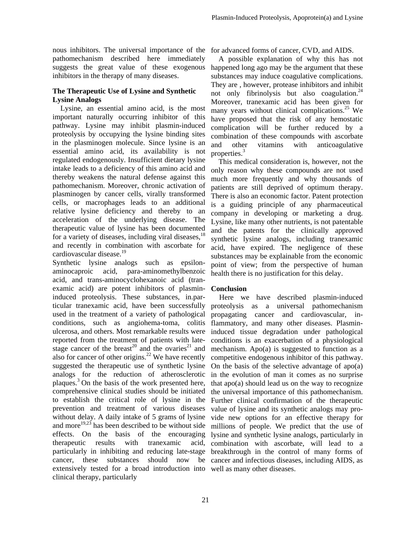nous inhibitors. The universal importance of the for advanced forms of cancer, CVD, and AIDS. pathomechanism described here immediately suggests the great value of these exogenous happened long ago may be the argument that these inhibitors in the therapy of many diseases.

## **The Therapeutic Use of Lysine and Synthetic Lysine Analogs**

Lysine, an essential amino acid, is the most important naturally occurring inhibitor of this pathway. Lysine may inhibit plasmin-induced proteolysis by occupying the lysine binding sites in the plasminogen molecule. Since lysine is an essential amino acid, its availability is not regulated endogenously. Insufficient dietary lysine intake leads to a deficiency of this amino acid and thereby weakens the natural defense against this pathomechanism. Moreover, chronic activation of plasminogen by cancer cells, virally transformed cells, or macrophages leads to an additional relative lysine deficiency and thereby to an acceleration of the underlying disease. The therapeutic value of lysine has been documented for a variety of diseases, including viral diseases, <sup>18</sup> and recently in combination with ascorbate for cardiovascular disease.<sup>19</sup>

Synthetic lysine analogs such as epsilonaminocaproic acid, para-aminomethylbenzoic acid, and trans-aminocyclohexanoic acid (tranexamic acid) are potent inhibitors of plasmininduced proteolysis. These substances, in.particular tranexamic acid, have been successfully used in the treatment of a variety of pathological conditions, such as angiohema-toma, colitis ulcerosa, and others. Most remarkable results were reported from the treatment of patients with latestage cancer of the breast<sup>20</sup> and the ovaries<sup>21</sup> and also for cancer of other origins.<sup>22</sup> We have recently suggested the therapeutic use of synthetic lysine analogs for the reduction of atherosclerotic plaques.3 On the basis of the work presented here, comprehensive clinical studies should be initiated to establish the critical role of lysine in the prevention and treatment of various diseases without delay. A daily intake of 5 grams of lysine and more<sup>19,23</sup> has been described to be without side effects. On the basis of the encouraging therapeutic results with tranexamic acid, particularly in inhibiting and reducing late-stage cancer, these substances should now be extensively tested for a broad introduction into well as many other diseases. clinical therapy, particularly

A possible explanation of why this has not substances may induce coagulative complications. They are , however, protease inhibitors and inhibit not only fibrinolysis but also coagulation.<sup>24</sup> Moreover, tranexamic acid has been given for many years without clinical complications. $^{25}$  We have proposed that the risk of any hemostatic complication will be further reduced by a combination of these compounds with ascorbate and other vitamins with anticoagulative properties.<sup>3</sup>

This medical consideration is, however, not the only reason why these compounds are not used much more frequently and why thousands of patients are still deprived of optimum therapy. There is also an economic factor. Patent protection is a guiding principle of any pharmaceutical company in developing or marketing a drug. Lysine, like many other nutrients, is not patentable and the patents for the clinically approved synthetic lysine analogs, including tranexamic acid, have expired. The negligence of these substances may be explainable from the economic point of view; from the perspective of human health there is no justification for this delay.

## **Conclusion**

Here we have described plasmin-induced proteolysis as a universal pathomechanism propagating cancer and cardiovascular, inflammatory, and many other diseases. Plasmininduced tissue degradation under pathological conditions is an exacerbation of a physiological mechanism. Apo(a) is suggested to function as a competitive endogenous inhibitor of this pathway. On the basis of the selective advantage of apo(a) in the evolution of man it comes as no surprise that  $apo(a)$  should lead us on the way to recognize the universal importance of this pathomechanism. Further clinical confirmation of the therapeutic value of lysine and its synthetic analogs may provide new options for an effective therapy for millions of people. We predict that the use of lysine and synthetic lysine analogs, particularly in combination with ascorbate, will lead to a breakthrough in the control of many forms of cancer and infectious diseases, including AIDS, as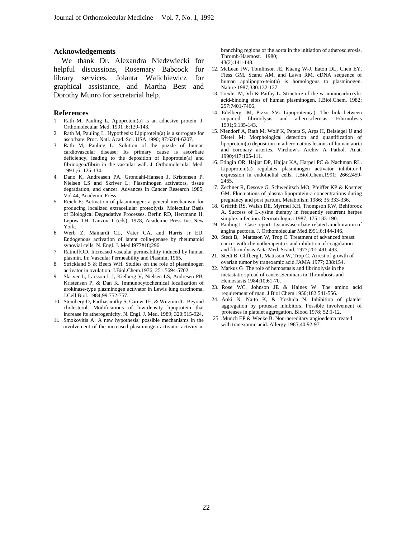### **Acknowledgements**

We thank Dr. Alexandra Niedzwiecki for helpful discussions, Rosemary Babcock for library services, Jolanta Walichiewicz for graphical assistance, and Martha Best and Dorothy Munro for secretarial help.

#### **References**

- 1. Rath M, Pauling L. Apoprotein(a) is an adhesive protein. J. Orthomolecular Med. 1991 ;6:139-143.
- 2. Rath M, Pauling L. Hypothesis: Lipiprotein(a) is a surrogate for ascorbate. Proc. Natl. Acad. Sci. USA 1990; 87:6204-6207.
- 3. Rath M, Pauling L. Solution of the puzzle of human cardiovascular disease: Its primary cause is ascorbate deficiency, leading to the deposition of lipoprotein(a) and fibrinogen/fibrin in the vascular wall. J. Orthomolecular Med. 1991 ;6: 125-134.
- 4. Dano K, Andreasen PA, Grondahl-Hansen J, Kristensen P, Nielsen LS and Skriver L: Plasminogen activators, tissue degradation, and cancer. Advances in Cancer Research 1985; Vol 44, Academic Press.
- 5. Reich E: Activation of plasminogen: a general mechanism for producing localized extracellular proteolysis. Molecular Basis of Biological Degradative Processes. Berlin RD, Herrmann H, Lepow TH, Tanzov T (eds), 1978, Academic Press Inc.,New York.
- 6. Werb Z, Mainardi CL, Vater CA, and Harris Jr ED: Endogenous activation of latent colla-genase by rheumatoid synovial cells. N. Engl. J. Med.l977#18;296:
- 7. RatnoffOD. Increased vascular permeability induced by human plasmin. In: Vascular Permeability and Plasmin, 1965.
- 8. Strickland S & Beers WH. Studies on the role of plasminogen activator in ovulation. J.Biol.Chem.1976; 251:5694-5702.
- 9. Skriver L, Larsson L-I, Kielberg V, Nielsen LS, Andresen PB, Kristensen P, & Dan K. Immunocytochemical localization of urokinase-type plasminogen activator in Lewis lung carcinoma. J.Cell Biol. 1984;99:752-757.
- 10. Steinberg D, Parthasarathy S, Carew TE, & WitztumJL. Beyond cholesterol. Modifications of low-density lipoprotein that increase its atherogenicity. N. Engl. J. Med. 1989; 320:915-924.
- 1l. Smokovitis A: A new hypothesis: possible mechanisms in the involvement of the increased plasminogen activator activity in

branching regions of the aorta in the initiation of atherosclerosis. Thromb-Haemost. 1980; 43(2):141-148.

- 12. McLean JW, Tomlinson JE, Kuang W-J, Eaton DL, Chen EY, Fless GM, Scanu AM, and Lawn RM. cDNA sequence of human apolipopro-tein(a) is homologous to plasminogen. Nature 1987;330:132-137.
- 13. Trexler M, Vli & Patthy L. Structure of the w-aminocarboxylic acid-binding sites of human plasminogen. J.Biol.Chem. 1982; 257:7401-7406.
- 14. Edelberg JM, Pizzo SV: Lipoprotein(a): The link between impaired fibrinolysis and atherosclerosis. Fibrinolysis 1991;5:135-143.
- 15. Niendorf A, Rath M, Wolf K, Peters S, Arps H, Beisiegel U and Dietel M: Morphological detection and quantification of lipoprotein(a) deposition in atheromatous lesions of human aorta and coronary arteries. Virchow's Archiv A Pathol. Anat. 1990;417:105-111.
- 16. Etingin OR, Hajjar DP, Hajjar KA, Harpel PC & Nachman RL. Lipoprotein(a) regulates plasminogen activator inhibitor-1 expression in endothelial cells. J.Biol.Chem.1991; 266:2459- 2465.
- 17. Zechner R, Desoye G, Schweditsch MO, Pfeiffer KP & Kostner GM. Fluctuations of plasma lipoprotein-a concentrations during pregnancy and post partum. Metabolism 1986; 35:333-336.
- 18. Griffith RS, Walsh DE, Myrmel KH, Thompson RW, Behforooz A. Success of L-lysine therapy in frequently recurrent herpes simplex infection. Dermatologica 1987; 175:183-190.
- 19. Pauling L. Case report: Lysine/ascorbate-related amelioration of angina pectoris. J. Orthomolecular Med.l991;6:144-146.
- 20. Stedt B, Mattsson W, Trop C. Treatment of advanced breast cancer with chemotherapeutics and inhibition of coagulation and fibrinolysis.Acta Med. Scand. 1977;201:491-493.
- 21. Stedt B Glifberg I, Mattsson W, Trop C. Arrest of growth of ovarian tumor by tranexamic acid.JAMA 1977; 238:154.
- 22. Markus G The role of hemostasis and fibrinolysis in the metastatic spread of cancer.Seminars in Thrombosis and Hemostasis 1984:10;61-70.
- 23. Rose WC, Johnson JE & Haines W. The amino acid requirement of man. J Biol Chem 1950;182:541-556.
- 24. Aoki N, Naito K, & Yoshida N. Inhibition of platelet aggregation by protease inhibitors. Possible involvement of proteases in platelet aggregation. Blood 1978; 52:1-12.
- 25 .Munch EP & Weeke B. Non-hereditary angioedema treated with tranexamic acid. Allergy 1985;40:92-97.